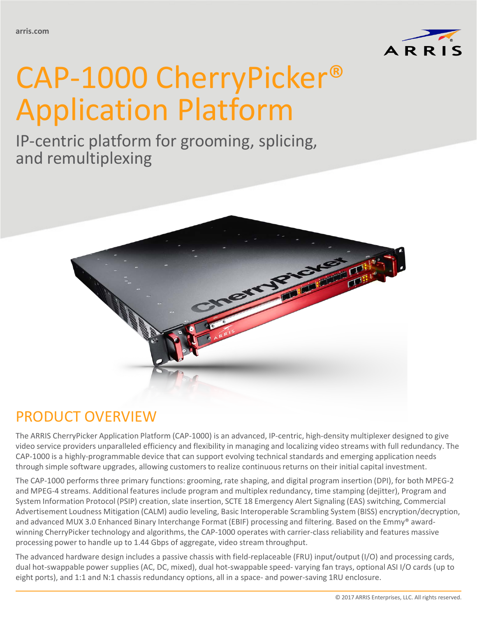

# CAP-1000 CherryPicker® Application Platform

IP-centric platform for grooming, splicing, and remultiplexing



## PRODUCT OVERVIEW

The ARRIS CherryPicker Application Platform (CAP-1000) is an advanced, IP-centric, high-density multiplexer designed to give video service providers unparalleled efficiency and flexibility in managing and localizing video streams with full redundancy. The CAP-1000 is a highly-programmable device that can support evolving technical standards and emerging application needs through simple software upgrades, allowing customers to realize continuous returns on their initial capital investment.

The CAP-1000 performs three primary functions: grooming, rate shaping, and digital program insertion (DPI), for both MPEG-2 and MPEG-4 streams. Additional features include program and multiplex redundancy, time stamping (dejitter), Program and System Information Protocol (PSIP) creation, slate insertion, SCTE 18 Emergency Alert Signaling (EAS) switching, Commercial Advertisement Loudness Mitigation (CALM) audio leveling, Basic Interoperable Scrambling System (BISS) encryption/decryption, and advanced MUX 3.0 Enhanced Binary Interchange Format (EBIF) processing and filtering. Based on the Emmy® awardwinning CherryPicker technology and algorithms, the CAP-1000 operates with carrier-class reliability and features massive processing power to handle up to 1.44 Gbps of aggregate, video stream throughput.

The advanced hardware design includes a passive chassis with field-replaceable (FRU) input/output (I/O) and processing cards, dual hot-swappable power supplies (AC, DC, mixed), dual hot-swappable speed- varying fan trays, optional ASI I/O cards (up to eight ports), and 1:1 and N:1 chassis redundancy options, all in a space- and power-saving 1RU enclosure.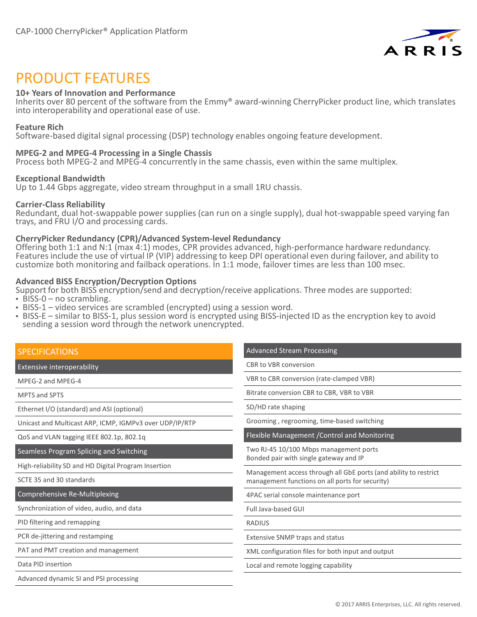

### PRODUCT FEATURES

#### **10+ Years of Innovation and Performance**

Inherits over 80 percent of the software from the Emmy® award-winning CherryPicker product line, which translates into interoperability and operational ease of use.

#### **Feature Rich**

Software-based digital signal processing (DSP) technology enables ongoing feature development.

#### **MPEG-2 and MPEG-4 Processing in a Single Chassis**

Process both MPEG-2 and MPEG-4 concurrently in the same chassis, even within the same multiplex.

#### **Exceptional Bandwidth**

Up to 1.44 Gbps aggregate, video stream throughput in a small 1RU chassis.

#### **Carrier-Class Reliability**

Redundant, dual hot-swappable power supplies (can run on a single supply), dual hot-swappable speed varying fan trays, and FRU I/O and processing cards.

#### **CherryPicker Redundancy (CPR)/Advanced System-level Redundancy**

Offering both 1:1 and N:1 (max 4:1) modes, CPR provides advanced, high-performance hardware redundancy. Features include the use of virtual IP (VIP) addressing to keep DPI operational even during failover, and ability to customize both monitoring and failback operations. In 1:1 mode, failover times are less than 100 msec.

#### **Advanced BISS Encryption/Decryption Options**

Support for both BISS encryption/send and decryption/receive applications. Three modes are supported:

- BISS-0 no scrambling.
- BISS-1 video services are scrambled (encrypted) using a session word.
- BISS-E similar to BISS-1, plus session word is encrypted using BISS-injected ID as the encryption key to avoid sending a session word through the network unencrypted.

| <b>SPECIFICATIONS</b>                                   | <b>Advanced Stream Processing</b>                                                                                   |  |
|---------------------------------------------------------|---------------------------------------------------------------------------------------------------------------------|--|
| Extensive interoperability                              | CBR to VBR conversion                                                                                               |  |
| MPEG-2 and MPEG-4                                       | VBR to CBR conversion (rate-clamped VBR)                                                                            |  |
| <b>MPTS and SPTS</b>                                    | Bitrate conversion CBR to CBR, VBR to VBR                                                                           |  |
| Ethernet I/O (standard) and ASI (optional)              | SD/HD rate shaping                                                                                                  |  |
| Unicast and Multicast ARP, ICMP, IGMPv3 over UDP/IP/RTP | Grooming, regrooming, time-based switching                                                                          |  |
| QoS and VLAN tagging IEEE 802.1p, 802.1q                | Flexible Management / Control and Monitoring                                                                        |  |
| Seamless Program Splicing and Switching                 | Two RJ-45 10/100 Mbps management ports                                                                              |  |
| High-reliability SD and HD Digital Program Insertion    | Bonded pair with single gateway and IP                                                                              |  |
| SCTE 35 and 30 standards                                | Management access through all GbE ports (and ability to restrict<br>management functions on all ports for security) |  |
| Comprehensive Re-Multiplexing                           | 4PAC serial console maintenance port                                                                                |  |
| Synchronization of video, audio, and data               | Full Java-based GUI                                                                                                 |  |
| PID filtering and remapping                             | <b>RADIUS</b>                                                                                                       |  |
| PCR de-jittering and restamping                         | <b>Extensive SNMP traps and status</b>                                                                              |  |
| PAT and PMT creation and management                     | XML configuration files for both input and output                                                                   |  |
| Data PID insertion                                      | Local and remote logging capability                                                                                 |  |
| Advanced dynamic SI and PSI processing                  |                                                                                                                     |  |